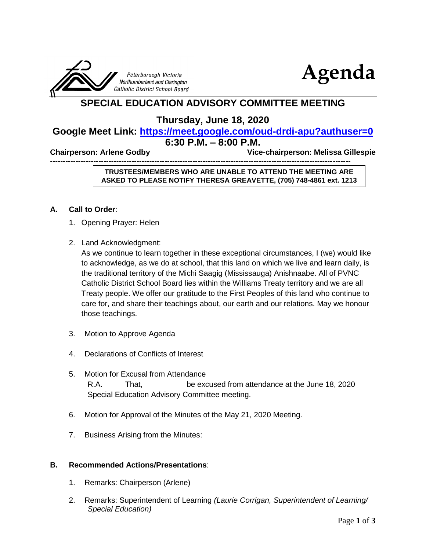



## **SPECIAL EDUCATION ADVISORY COMMITTEE MEETING**

**Thursday, June 18, 2020**

# **Google Meet Link: <https://meet.google.com/oud-drdi-apu?authuser=0>**

## **6:30 P.M. – 8:00 P.M.**

**Chairperson: Arlene Godby Vice-chairperson: Melissa Gillespie** 

----------------------------------------------------------------------------------------------------------------------

#### **TRUSTEES/MEMBERS WHO ARE UNABLE TO ATTEND THE MEETING ARE ASKED TO PLEASE NOTIFY THERESA GREAVETTE, (705) 748-4861 ext. 1213**

#### **A. Call to Order**:

- 1. Opening Prayer: Helen
- 2. Land Acknowledgment:

As we continue to learn together in these exceptional circumstances, I (we) would like to acknowledge, as we do at school, that this land on which we live and learn daily, is the traditional territory of the Michi Saagig (Mississauga) Anishnaabe. All of PVNC Catholic District School Board lies within the Williams Treaty territory and we are all Treaty people. We offer our gratitude to the First Peoples of this land who continue to care for, and share their teachings about, our earth and our relations. May we honour those teachings.

- 3. Motion to Approve Agenda
- 4. Declarations of Conflicts of Interest
- 5. Motion for Excusal from Attendance R.A. That, be excused from attendance at the June 18, 2020 Special Education Advisory Committee meeting.
- 6. Motion for Approval of the Minutes of the May 21, 2020 Meeting.
- 7. Business Arising from the Minutes:

#### **B. Recommended Actions/Presentations**:

- 1. Remarks: Chairperson (Arlene)
- 2. Remarks: Superintendent of Learning *(Laurie Corrigan, Superintendent of Learning/ Special Education)*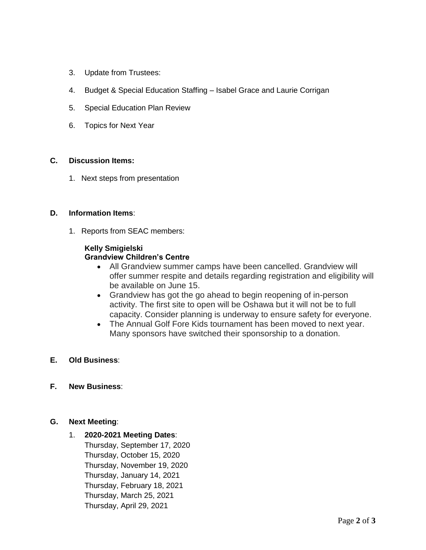- 3. Update from Trustees:
- 4. Budget & Special Education Staffing Isabel Grace and Laurie Corrigan
- 5. Special Education Plan Review
- 6. Topics for Next Year

#### **C. Discussion Items:**

1. Next steps from presentation

#### **D. Information Items**:

1. Reports from SEAC members:

#### **Kelly Smigielski Grandview Children's Centre**

- All Grandview summer camps have been cancelled. Grandview will offer summer respite and details regarding registration and eligibility will be available on June 15.
- Grandview has got the go ahead to begin reopening of in-person activity. The first site to open will be Oshawa but it will not be to full capacity. Consider planning is underway to ensure safety for everyone.
- The Annual Golf Fore Kids tournament has been moved to next year. Many sponsors have switched their sponsorship to a donation.

### **E. Old Business**:

**F. New Business**:

### **G. Next Meeting**:

1. **2020-2021 Meeting Dates**: Thursday, September 17, 2020 Thursday, October 15, 2020 Thursday, November 19, 2020 Thursday, January 14, 2021 Thursday, February 18, 2021 Thursday, March 25, 2021 Thursday, April 29, 2021